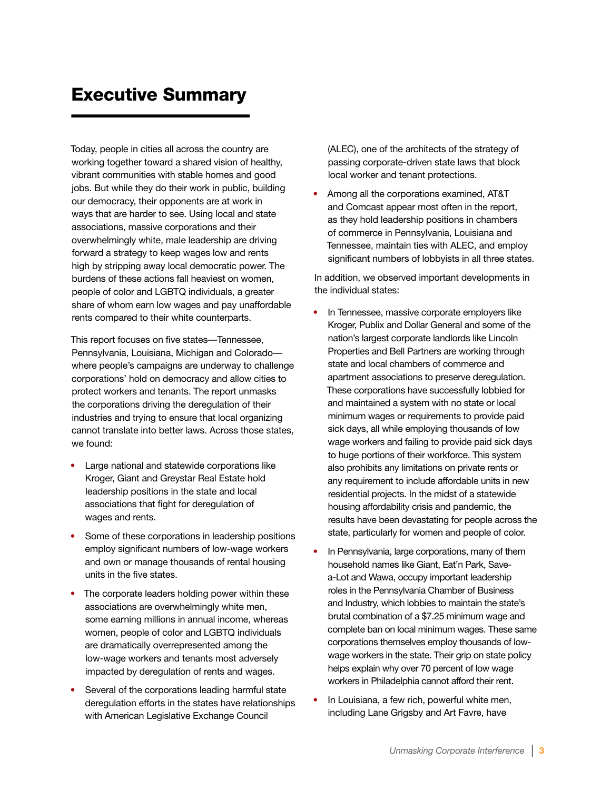## Executive Summary

Today, people in cities all across the country are working together toward a shared vision of healthy, vibrant communities with stable homes and good jobs. But while they do their work in public, building our democracy, their opponents are at work in ways that are harder to see. Using local and state associations, massive corporations and their overwhelmingly white, male leadership are driving forward a strategy to keep wages low and rents high by stripping away local democratic power. The burdens of these actions fall heaviest on women, people of color and LGBTQ individuals, a greater share of whom earn low wages and pay unaffordable rents compared to their white counterparts.

This report focuses on five states—Tennessee, Pennsylvania, Louisiana, Michigan and Colorado where people's campaigns are underway to challenge corporations' hold on democracy and allow cities to protect workers and tenants. The report unmasks the corporations driving the deregulation of their industries and trying to ensure that local organizing cannot translate into better laws. Across those states, we found:

- **•** Large national and statewide corporations like Kroger, Giant and Greystar Real Estate hold leadership positions in the state and local associations that fight for deregulation of wages and rents.
- **•** Some of these corporations in leadership positions employ significant numbers of low-wage workers and own or manage thousands of rental housing units in the five states.
- **•** The corporate leaders holding power within these associations are overwhelmingly white men, some earning millions in annual income, whereas women, people of color and LGBTQ individuals are dramatically overrepresented among the low-wage workers and tenants most adversely impacted by deregulation of rents and wages.
- **•** Several of the corporations leading harmful state deregulation efforts in the states have relationships with American Legislative Exchange Council

(ALEC), one of the architects of the strategy of passing corporate-driven state laws that block local worker and tenant protections.

**•** Among all the corporations examined, AT&T and Comcast appear most often in the report, as they hold leadership positions in chambers of commerce in Pennsylvania, Louisiana and Tennessee, maintain ties with ALEC, and employ significant numbers of lobbyists in all three states.

In addition, we observed important developments in the individual states:

- **•** In Tennessee, massive corporate employers like Kroger, Publix and Dollar General and some of the nation's largest corporate landlords like Lincoln Properties and Bell Partners are working through state and local chambers of commerce and apartment associations to preserve deregulation. These corporations have successfully lobbied for and maintained a system with no state or local minimum wages or requirements to provide paid sick days, all while employing thousands of low wage workers and failing to provide paid sick days to huge portions of their workforce. This system also prohibits any limitations on private rents or any requirement to include affordable units in new residential projects. In the midst of a statewide housing affordability crisis and pandemic, the results have been devastating for people across the state, particularly for women and people of color.
- **•** In Pennsylvania, large corporations, many of them household names like Giant, Eat'n Park, Savea-Lot and Wawa, occupy important leadership roles in the Pennsylvania Chamber of Business and Industry, which lobbies to maintain the state's brutal combination of a \$7.25 minimum wage and complete ban on local minimum wages. These same corporations themselves employ thousands of lowwage workers in the state. Their grip on state policy helps explain why over 70 percent of low wage workers in Philadelphia cannot afford their rent.
- **•** In Louisiana, a few rich, powerful white men, including Lane Grigsby and Art Favre, have